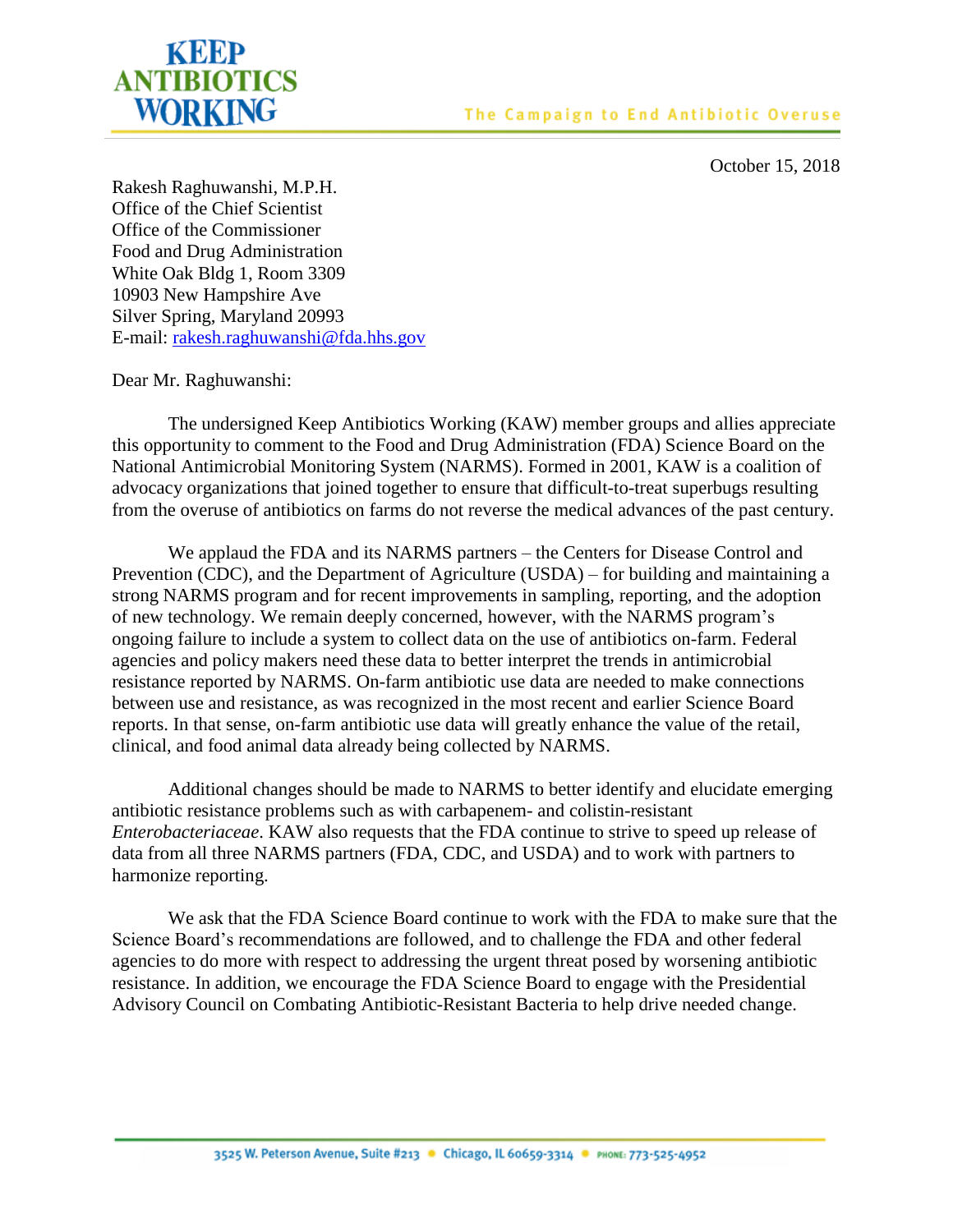

October 15, 2018

Rakesh Raghuwanshi, M.P.H. Office of the Chief Scientist Office of the Commissioner Food and Drug Administration White Oak Bldg 1, Room 3309 10903 New Hampshire Ave Silver Spring, Maryland 20993 E-mail: [rakesh.raghuwanshi@fda.hhs.gov](mailto:rakesh.raghuwanshi@fda.hhs.gov)

Dear Mr. Raghuwanshi:

The undersigned Keep Antibiotics Working (KAW) member groups and allies appreciate this opportunity to comment to the Food and Drug Administration (FDA) Science Board on the National Antimicrobial Monitoring System (NARMS). Formed in 2001, KAW is a coalition of advocacy organizations that joined together to ensure that difficult-to-treat superbugs resulting from the overuse of antibiotics on farms do not reverse the medical advances of the past century.

We applaud the FDA and its NARMS partners – the Centers for Disease Control and Prevention (CDC), and the Department of Agriculture (USDA) – for building and maintaining a strong NARMS program and for recent improvements in sampling, reporting, and the adoption of new technology. We remain deeply concerned, however, with the NARMS program's ongoing failure to include a system to collect data on the use of antibiotics on-farm. Federal agencies and policy makers need these data to better interpret the trends in antimicrobial resistance reported by NARMS. On-farm antibiotic use data are needed to make connections between use and resistance, as was recognized in the most recent and earlier Science Board reports. In that sense, on-farm antibiotic use data will greatly enhance the value of the retail, clinical, and food animal data already being collected by NARMS.

Additional changes should be made to NARMS to better identify and elucidate emerging antibiotic resistance problems such as with carbapenem- and colistin-resistant *Enterobacteriaceae*. KAW also requests that the FDA continue to strive to speed up release of data from all three NARMS partners (FDA, CDC, and USDA) and to work with partners to harmonize reporting.

We ask that the FDA Science Board continue to work with the FDA to make sure that the Science Board's recommendations are followed, and to challenge the FDA and other federal agencies to do more with respect to addressing the urgent threat posed by worsening antibiotic resistance. In addition, we encourage the FDA Science Board to engage with the Presidential Advisory Council on Combating Antibiotic-Resistant Bacteria to help drive needed change.